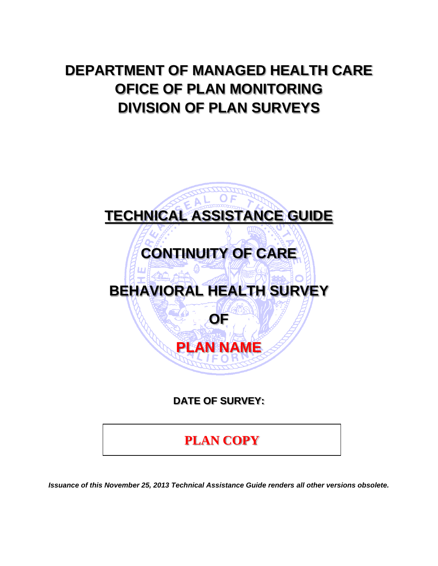# **DEPARTMENT OF MANAGED HEALTH CARE OFICE OF PLAN MONITORING DIVISION OF PLAN SURVEYS**



*Issuance of this November 25, 2013 Technical Assistance Guide renders all other versions obsolete.*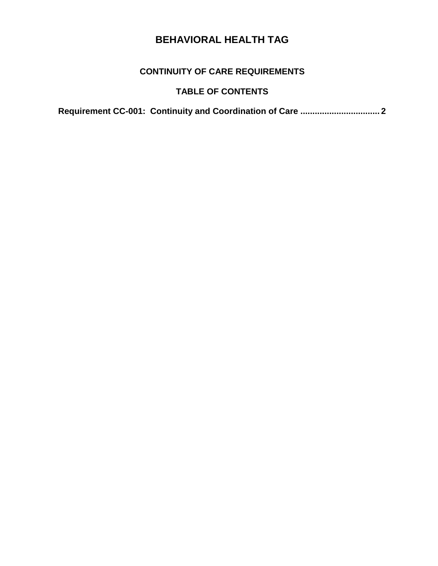#### **CONTINUITY OF CARE REQUIREMENTS**

#### **TABLE OF CONTENTS**

**[Requirement CC-001: Continuity and Coordination of Care](#page-2-0) ................................. 2**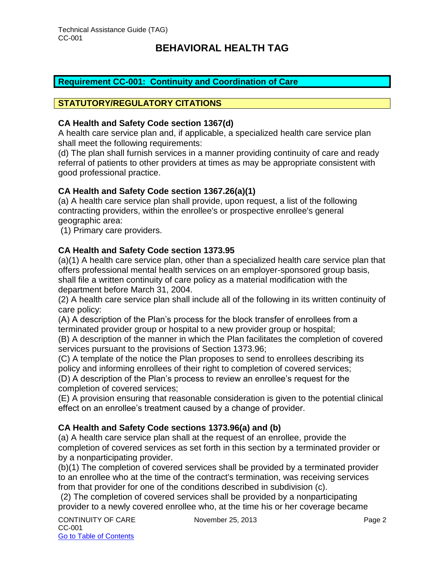#### <span id="page-2-0"></span>**Requirement CC-001: Continuity and Coordination of Care**

#### **STATUTORY/REGULATORY CITATIONS**

#### **CA Health and Safety Code section 1367(d)**

A health care service plan and, if applicable, a specialized health care service plan shall meet the following requirements:

(d) The plan shall furnish services in a manner providing continuity of care and ready referral of patients to other providers at times as may be appropriate consistent with good professional practice.

#### **CA Health and Safety Code section 1367.26(a)(1)**

(a) A health care service plan shall provide, upon request, a list of the following contracting providers, within the enrollee's or prospective enrollee's general geographic area:

(1) Primary care providers.

#### **CA Health and Safety Code section 1373.95**

(a)(1) A health care service plan, other than a specialized health care service plan that offers professional mental health services on an employer-sponsored group basis, shall file a written continuity of care policy as a material modification with the department before March 31, 2004.

(2) A health care service plan shall include all of the following in its written continuity of care policy:

(A) A description of the Plan's process for the block transfer of enrollees from a terminated provider group or hospital to a new provider group or hospital;

(B) A description of the manner in which the Plan facilitates the completion of covered services pursuant to the provisions of Section 1373.96;

(C) A template of the notice the Plan proposes to send to enrollees describing its policy and informing enrollees of their right to completion of covered services;

(D) A description of the Plan's process to review an enrollee's request for the completion of covered services;

(E) A provision ensuring that reasonable consideration is given to the potential clinical effect on an enrollee's treatment caused by a change of provider.

#### **CA Health and Safety Code sections 1373.96(a) and (b)**

(a) A health care service plan shall at the request of an enrollee, provide the completion of covered services as set forth in this section by a terminated provider or by a nonparticipating provider.

(b)(1) The completion of covered services shall be provided by a terminated provider to an enrollee who at the time of the contract's termination, was receiving services from that provider for one of the conditions described in subdivision (c).

(2) The completion of covered services shall be provided by a nonparticipating provider to a newly covered enrollee who, at the time his or her coverage became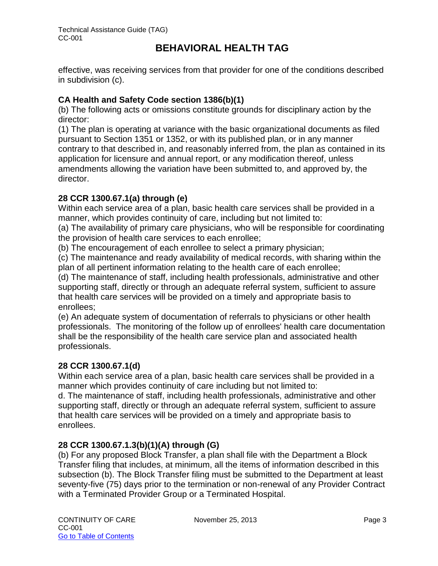effective, was receiving services from that provider for one of the conditions described in subdivision (c).

#### **CA Health and Safety Code section 1386(b)(1)**

(b) The following acts or omissions constitute grounds for disciplinary action by the director:

(1) The plan is operating at variance with the basic organizational documents as filed pursuant to Section 1351 or 1352, or with its published plan, or in any manner contrary to that described in, and reasonably inferred from, the plan as contained in its application for licensure and annual report, or any modification thereof, unless amendments allowing the variation have been submitted to, and approved by, the director.

#### **28 CCR 1300.67.1(a) through (e)**

Within each service area of a plan, basic health care services shall be provided in a manner, which provides continuity of care, including but not limited to:

(a) The availability of primary care physicians, who will be responsible for coordinating the provision of health care services to each enrollee;

(b) The encouragement of each enrollee to select a primary physician;

(c) The maintenance and ready availability of medical records, with sharing within the plan of all pertinent information relating to the health care of each enrollee;

(d) The maintenance of staff, including health professionals, administrative and other supporting staff, directly or through an adequate referral system, sufficient to assure that health care services will be provided on a timely and appropriate basis to enrollees;

(e) An adequate system of documentation of referrals to physicians or other health professionals. The monitoring of the follow up of enrollees' health care documentation shall be the responsibility of the health care service plan and associated health professionals.

#### **28 CCR 1300.67.1(d)**

Within each service area of a plan, basic health care services shall be provided in a manner which provides continuity of care including but not limited to:

d. The maintenance of staff, including health professionals, administrative and other supporting staff, directly or through an adequate referral system, sufficient to assure that health care services will be provided on a timely and appropriate basis to enrollees.

#### **28 CCR 1300.67.1.3(b)(1)(A) through (G)**

(b) For any proposed Block Transfer, a plan shall file with the Department a Block Transfer filing that includes, at minimum, all the items of information described in this subsection (b). The Block Transfer filing must be submitted to the Department at least seventy-five (75) days prior to the termination or non-renewal of any Provider Contract with a Terminated Provider Group or a Terminated Hospital.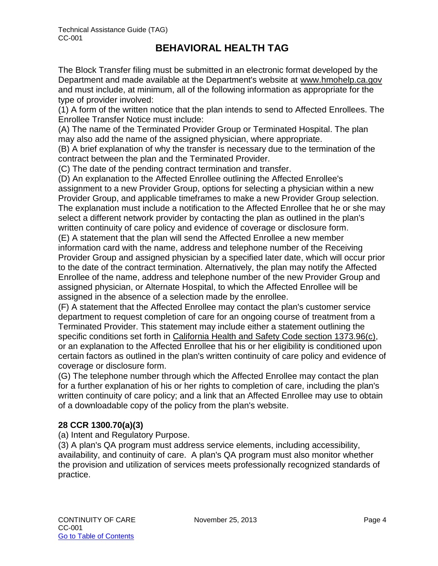The Block Transfer filing must be submitted in an electronic format developed by the Department and made available at the Department's website at [www.hmohelp.ca.gov](http://www.hmohelp.ca.gov/) and must include, at minimum, all of the following information as appropriate for the type of provider involved:

(1) A form of the written notice that the plan intends to send to Affected Enrollees. The Enrollee Transfer Notice must include:

(A) The name of the Terminated Provider Group or Terminated Hospital. The plan may also add the name of the assigned physician, where appropriate.

(B) A brief explanation of why the transfer is necessary due to the termination of the contract between the plan and the Terminated Provider.

(C) The date of the pending contract termination and transfer.

(D) An explanation to the Affected Enrollee outlining the Affected Enrollee's assignment to a new Provider Group, options for selecting a physician within a new Provider Group, and applicable timeframes to make a new Provider Group selection. The explanation must include a notification to the Affected Enrollee that he or she may select a different network provider by contacting the plan as outlined in the plan's written continuity of care policy and evidence of coverage or disclosure form. (E) A statement that the plan will send the Affected Enrollee a new member information card with the name, address and telephone number of the Receiving Provider Group and assigned physician by a specified later date, which will occur prior to the date of the contract termination. Alternatively, the plan may notify the Affected Enrollee of the name, address and telephone number of the new Provider Group and assigned physician, or Alternate Hospital, to which the Affected Enrollee will be assigned in the absence of a selection made by the enrollee.

(F) A statement that the Affected Enrollee may contact the plan's customer service department to request completion of care for an ongoing course of treatment from a Terminated Provider. This statement may include either a statement outlining the specific conditions set forth in [California Health and Safety Code section 1373.96\(c\),](http://www.lexis.com/research/buttonTFLink?_m=3543db3e8d7214ec080369e0abb78dfa&_xfercite=%3ccite%20cc%3d%22USA%22%3e%3c%21%5bCDATA%5b28%20CCR%201300.67.1.3%5d%5d%3e%3c%2fcite%3e&_butType=4&_butStat=0&_butNum=1&_butInline=1&_butinfo=CA%20HEALTH%25%20) or an explanation to the Affected Enrollee that his or her eligibility is conditioned upon certain factors as outlined in the plan's written continuity of care policy and evidence of coverage or disclosure form.

(G) The telephone number through which the Affected Enrollee may contact the plan for a further explanation of his or her rights to completion of care, including the plan's written continuity of care policy; and a link that an Affected Enrollee may use to obtain of a downloadable copy of the policy from the plan's website.

#### **28 CCR 1300.70(a)(3)**

(a) Intent and Regulatory Purpose.

(3) A plan's QA program must address service elements, including accessibility, availability, and continuity of care. A plan's QA program must also monitor whether the provision and utilization of services meets professionally recognized standards of practice.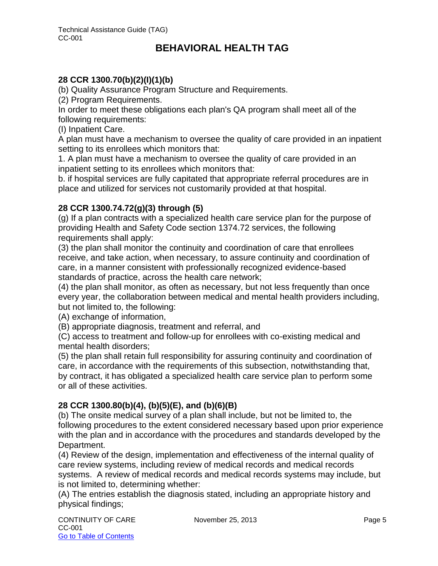#### **28 CCR 1300.70(b)(2)(I)(1)(b)**

(b) Quality Assurance Program Structure and Requirements.

(2) Program Requirements.

In order to meet these obligations each plan's QA program shall meet all of the following requirements:

(I) Inpatient Care.

A plan must have a mechanism to oversee the quality of care provided in an inpatient setting to its enrollees which monitors that:

1. A plan must have a mechanism to oversee the quality of care provided in an inpatient setting to its enrollees which monitors that:

b. if hospital services are fully capitated that appropriate referral procedures are in place and utilized for services not customarily provided at that hospital.

#### **28 CCR 1300.74.72(g)(3) through (5)**

(g) If a plan contracts with a specialized health care service plan for the purpose of providing Health and Safety Code section 1374.72 services, the following requirements shall apply:

(3) the plan shall monitor the continuity and coordination of care that enrollees receive, and take action, when necessary, to assure continuity and coordination of care, in a manner consistent with professionally recognized evidence-based standards of practice, across the health care network;

(4) the plan shall monitor, as often as necessary, but not less frequently than once every year, the collaboration between medical and mental health providers including, but not limited to, the following:

(A) exchange of information,

(B) appropriate diagnosis, treatment and referral, and

(C) access to treatment and follow-up for enrollees with co-existing medical and mental health disorders;

(5) the plan shall retain full responsibility for assuring continuity and coordination of care, in accordance with the requirements of this subsection, notwithstanding that, by contract, it has obligated a specialized health care service plan to perform some or all of these activities.

#### **28 CCR 1300.80(b)(4), (b)(5)(E), and (b)(6)(B)**

(b) The onsite medical survey of a plan shall include, but not be limited to, the following procedures to the extent considered necessary based upon prior experience with the plan and in accordance with the procedures and standards developed by the Department.

(4) Review of the design, implementation and effectiveness of the internal quality of care review systems, including review of medical records and medical records systems. A review of medical records and medical records systems may include, but is not limited to, determining whether:

(A) The entries establish the diagnosis stated, including an appropriate history and physical findings;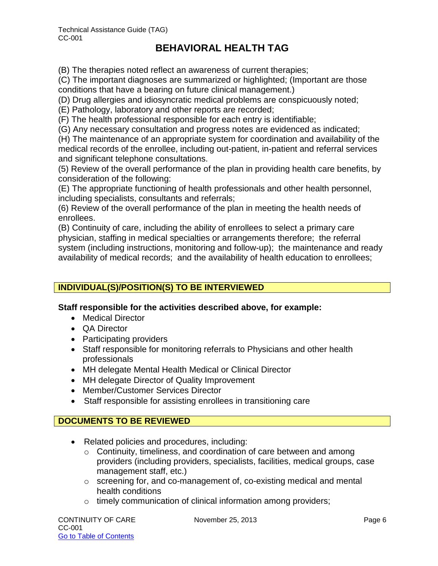(B) The therapies noted reflect an awareness of current therapies;

(C) The important diagnoses are summarized or highlighted; (Important are those conditions that have a bearing on future clinical management.)

(D) Drug allergies and idiosyncratic medical problems are conspicuously noted;

(E) Pathology, laboratory and other reports are recorded;

(F) The health professional responsible for each entry is identifiable;

(G) Any necessary consultation and progress notes are evidenced as indicated;

(H) The maintenance of an appropriate system for coordination and availability of the medical records of the enrollee, including out-patient, in-patient and referral services and significant telephone consultations.

(5) Review of the overall performance of the plan in providing health care benefits, by consideration of the following:

(E) The appropriate functioning of health professionals and other health personnel, including specialists, consultants and referrals;

(6) Review of the overall performance of the plan in meeting the health needs of enrollees.

(B) Continuity of care, including the ability of enrollees to select a primary care physician, staffing in medical specialties or arrangements therefore; the referral system (including instructions, monitoring and follow-up); the maintenance and ready availability of medical records; and the availability of health education to enrollees;

#### **INDIVIDUAL(S)/POSITION(S) TO BE INTERVIEWED**

**Staff responsible for the activities described above, for example:**

- Medical Director
- **QA Director**
- Participating providers
- Staff responsible for monitoring referrals to Physicians and other health professionals
- MH delegate Mental Health Medical or Clinical Director
- MH delegate Director of Quality Improvement
- Member/Customer Services Director
- Staff responsible for assisting enrollees in transitioning care

#### **DOCUMENTS TO BE REVIEWED**

- Related policies and procedures, including:
	- o Continuity, timeliness, and coordination of care between and among providers (including providers, specialists, facilities, medical groups, case management staff, etc.)
	- o screening for, and co-management of, co-existing medical and mental health conditions
	- o timely communication of clinical information among providers;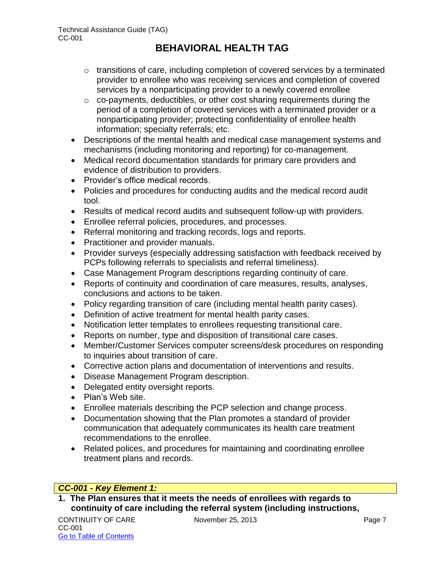- o transitions of care, including completion of covered services by a terminated provider to enrollee who was receiving services and completion of covered services by a nonparticipating provider to a newly covered enrollee
- o co-payments, deductibles, or other cost sharing requirements during the period of a completion of covered services with a terminated provider or a nonparticipating provider; protecting confidentiality of enrollee health information; specialty referrals; etc.
- Descriptions of the mental health and medical case management systems and mechanisms (including monitoring and reporting) for co-management.
- Medical record documentation standards for primary care providers and evidence of distribution to providers.
- Provider's office medical records.
- Policies and procedures for conducting audits and the medical record audit tool.
- Results of medical record audits and subsequent follow-up with providers.
- Enrollee referral policies, procedures, and processes.
- Referral monitoring and tracking records, logs and reports.
- Practitioner and provider manuals.
- Provider surveys (especially addressing satisfaction with feedback received by PCPs following referrals to specialists and referral timeliness).
- Case Management Program descriptions regarding continuity of care.
- Reports of continuity and coordination of care measures, results, analyses, conclusions and actions to be taken.
- Policy regarding transition of care (including mental health parity cases).
- Definition of active treatment for mental health parity cases.
- Notification letter templates to enrollees requesting transitional care.
- Reports on number, type and disposition of transitional care cases.
- Member/Customer Services computer screens/desk procedures on responding to inquiries about transition of care.
- Corrective action plans and documentation of interventions and results.
- Disease Management Program description.
- Delegated entity oversight reports.
- Plan's Web site.
- Enrollee materials describing the PCP selection and change process.
- Documentation showing that the Plan promotes a standard of provider communication that adequately communicates its health care treatment recommendations to the enrollee.
- Related polices, and procedures for maintaining and coordinating enrollee treatment plans and records.

#### *CC-001 - Key Element 1:*

**1. The Plan ensures that it meets the needs of enrollees with regards to continuity of care including the referral system (including instructions,**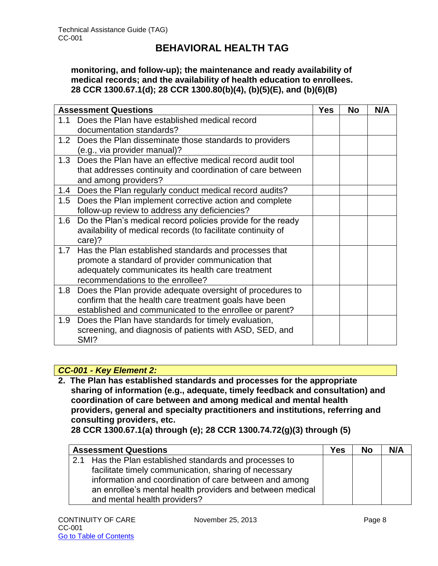**monitoring, and follow-up); the maintenance and ready availability of medical records; and the availability of health education to enrollees. 28 CCR 1300.67.1(d); 28 CCR 1300.80(b)(4), (b)(5)(E), and (b)(6)(B)** 

| <b>Assessment Questions</b> |                                                                 | <b>Yes</b> | <b>No</b> | N/A |
|-----------------------------|-----------------------------------------------------------------|------------|-----------|-----|
| 1.1                         | Does the Plan have established medical record                   |            |           |     |
|                             | documentation standards?                                        |            |           |     |
|                             | 1.2 Does the Plan disseminate those standards to providers      |            |           |     |
|                             | (e.g., via provider manual)?                                    |            |           |     |
| 1.3                         | Does the Plan have an effective medical record audit tool       |            |           |     |
|                             | that addresses continuity and coordination of care between      |            |           |     |
|                             | and among providers?                                            |            |           |     |
| 1.4                         | Does the Plan regularly conduct medical record audits?          |            |           |     |
|                             | 1.5 Does the Plan implement corrective action and complete      |            |           |     |
|                             | follow-up review to address any deficiencies?                   |            |           |     |
|                             | 1.6 Do the Plan's medical record policies provide for the ready |            |           |     |
|                             | availability of medical records (to facilitate continuity of    |            |           |     |
|                             | care)?                                                          |            |           |     |
| 1.7                         | Has the Plan established standards and processes that           |            |           |     |
|                             | promote a standard of provider communication that               |            |           |     |
|                             | adequately communicates its health care treatment               |            |           |     |
|                             | recommendations to the enrollee?                                |            |           |     |
| 1.8                         | Does the Plan provide adequate oversight of procedures to       |            |           |     |
|                             | confirm that the health care treatment goals have been          |            |           |     |
|                             | established and communicated to the enrollee or parent?         |            |           |     |
| 1.9                         | Does the Plan have standards for timely evaluation,             |            |           |     |
|                             | screening, and diagnosis of patients with ASD, SED, and         |            |           |     |
|                             | SMI?                                                            |            |           |     |

#### *CC-001 - Key Element 2:*

**2. The Plan has established standards and processes for the appropriate sharing of information (e.g., adequate, timely feedback and consultation) and coordination of care between and among medical and mental health providers, general and specialty practitioners and institutions, referring and consulting providers, etc.** 

**28 CCR 1300.67.1(a) through (e); 28 CCR 1300.74.72(g)(3) through (5)**

|     | <b>Assessment Questions</b>                               | <b>Yes</b> | <b>No</b> | N/A |
|-----|-----------------------------------------------------------|------------|-----------|-----|
| 2.1 | Has the Plan established standards and processes to       |            |           |     |
|     | facilitate timely communication, sharing of necessary     |            |           |     |
|     | information and coordination of care between and among    |            |           |     |
|     | an enrollee's mental health providers and between medical |            |           |     |
|     | and mental health providers?                              |            |           |     |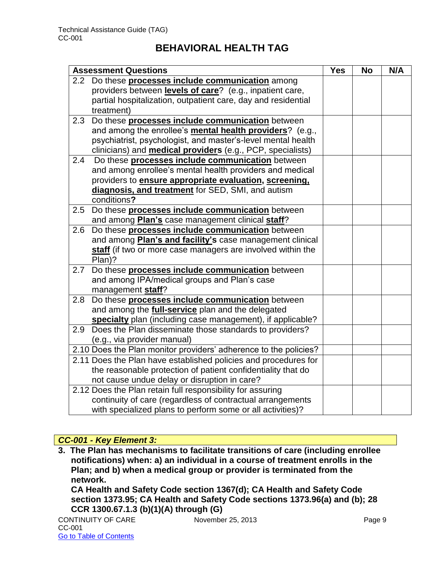|                  | <b>Assessment Questions</b>                                       | <b>Yes</b> | <b>No</b> | N/A |
|------------------|-------------------------------------------------------------------|------------|-----------|-----|
| 2.2 <sub>2</sub> | Do these <b>processes include communication</b> among             |            |           |     |
|                  | providers between levels of care? (e.g., inpatient care,          |            |           |     |
|                  | partial hospitalization, outpatient care, day and residential     |            |           |     |
|                  | treatment)                                                        |            |           |     |
| 2.3              | Do these processes include communication between                  |            |           |     |
|                  | and among the enrollee's mental health providers? (e.g.,          |            |           |     |
|                  | psychiatrist, psychologist, and master's-level mental health      |            |           |     |
|                  | clinicians) and <b>medical providers</b> (e.g., PCP, specialists) |            |           |     |
| 2.4              | Do these processes include communication between                  |            |           |     |
|                  | and among enrollee's mental health providers and medical          |            |           |     |
|                  | providers to <b>ensure appropriate evaluation</b> , screening,    |            |           |     |
|                  | diagnosis, and treatment for SED, SMI, and autism                 |            |           |     |
|                  | conditions?                                                       |            |           |     |
| 2.5              | Do these processes include communication between                  |            |           |     |
|                  | and among <b>Plan's</b> case management clinical staff?           |            |           |     |
| 2.6              | Do these processes include communication between                  |            |           |     |
|                  | and among <b>Plan's and facility's</b> case management clinical   |            |           |     |
|                  | staff (if two or more case managers are involved within the       |            |           |     |
|                  | Plan)?                                                            |            |           |     |
| 2.7              | Do these processes include communication between                  |            |           |     |
|                  | and among IPA/medical groups and Plan's case                      |            |           |     |
|                  | management staff?                                                 |            |           |     |
| 2.8              | Do these processes include communication between                  |            |           |     |
|                  | and among the full-service plan and the delegated                 |            |           |     |
|                  | specialty plan (including case management), if applicable?        |            |           |     |
|                  | 2.9 Does the Plan disseminate those standards to providers?       |            |           |     |
|                  | (e.g., via provider manual)                                       |            |           |     |
|                  | 2.10 Does the Plan monitor providers' adherence to the policies?  |            |           |     |
|                  | 2.11 Does the Plan have established policies and procedures for   |            |           |     |
|                  | the reasonable protection of patient confidentiality that do      |            |           |     |
|                  | not cause undue delay or disruption in care?                      |            |           |     |
|                  | 2.12 Does the Plan retain full responsibility for assuring        |            |           |     |
|                  | continuity of care (regardless of contractual arrangements        |            |           |     |
|                  | with specialized plans to perform some or all activities)?        |            |           |     |

#### *CC-001 - Key Element 3:*

**3. The Plan has mechanisms to facilitate transitions of care (including enrollee notifications) when: a) an individual in a course of treatment enrolls in the Plan; and b) when a medical group or provider is terminated from the network.** 

**CA Health and Safety Code section 1367(d); CA Health and Safety Code section 1373.95; CA Health and Safety Code sections 1373.96(a) and (b); 28 CCR 1300.67.1.3 (b)(1)(A) through (G)**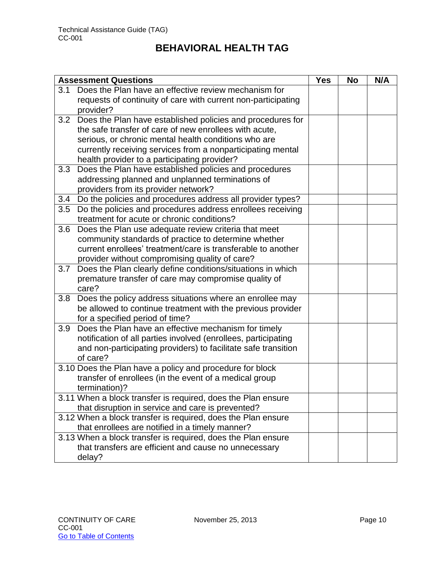| <b>Assessment Questions</b> |                                                                            | <b>Yes</b> | <b>No</b> | N/A |
|-----------------------------|----------------------------------------------------------------------------|------------|-----------|-----|
| 3.1                         | Does the Plan have an effective review mechanism for                       |            |           |     |
|                             | requests of continuity of care with current non-participating<br>provider? |            |           |     |
| 3.2                         | Does the Plan have established policies and procedures for                 |            |           |     |
|                             | the safe transfer of care of new enrollees with acute,                     |            |           |     |
|                             | serious, or chronic mental health conditions who are                       |            |           |     |
|                             | currently receiving services from a nonparticipating mental                |            |           |     |
|                             | health provider to a participating provider?                               |            |           |     |
| 3.3                         | Does the Plan have established policies and procedures                     |            |           |     |
|                             | addressing planned and unplanned terminations of                           |            |           |     |
|                             | providers from its provider network?                                       |            |           |     |
| 3.4                         | Do the policies and procedures address all provider types?                 |            |           |     |
| 3.5                         | Do the policies and procedures address enrollees receiving                 |            |           |     |
|                             | treatment for acute or chronic conditions?                                 |            |           |     |
| 3.6                         | Does the Plan use adequate review criteria that meet                       |            |           |     |
|                             | community standards of practice to determine whether                       |            |           |     |
|                             | current enrollees' treatment/care is transferable to another               |            |           |     |
|                             | provider without compromising quality of care?                             |            |           |     |
| 3.7                         | Does the Plan clearly define conditions/situations in which                |            |           |     |
|                             | premature transfer of care may compromise quality of<br>care?              |            |           |     |
| 3.8                         | Does the policy address situations where an enrollee may                   |            |           |     |
|                             | be allowed to continue treatment with the previous provider                |            |           |     |
|                             | for a specified period of time?                                            |            |           |     |
| 3.9                         | Does the Plan have an effective mechanism for timely                       |            |           |     |
|                             | notification of all parties involved (enrollees, participating             |            |           |     |
|                             | and non-participating providers) to facilitate safe transition             |            |           |     |
|                             | of care?                                                                   |            |           |     |
|                             | 3.10 Does the Plan have a policy and procedure for block                   |            |           |     |
|                             | transfer of enrollees (in the event of a medical group                     |            |           |     |
|                             | termination)?                                                              |            |           |     |
|                             | 3.11 When a block transfer is required, does the Plan ensure               |            |           |     |
|                             | that disruption in service and care is prevented?                          |            |           |     |
|                             | 3.12 When a block transfer is required, does the Plan ensure               |            |           |     |
|                             | that enrollees are notified in a timely manner?                            |            |           |     |
|                             | 3.13 When a block transfer is required, does the Plan ensure               |            |           |     |
|                             | that transfers are efficient and cause no unnecessary                      |            |           |     |
|                             | delay?                                                                     |            |           |     |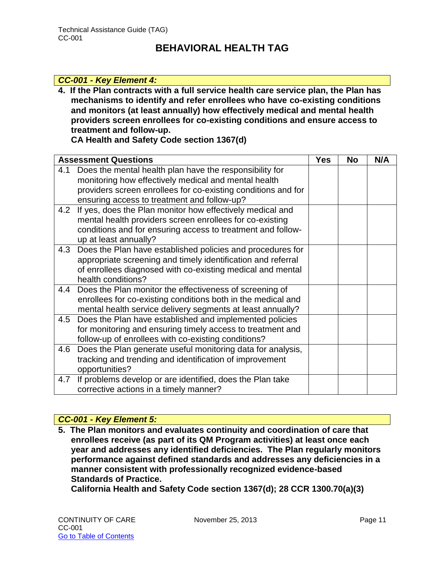#### *CC-001 - Key Element 4:*

**4. If the Plan contracts with a full service health care service plan, the Plan has mechanisms to identify and refer enrollees who have co-existing conditions and monitors (at least annually) how effectively medical and mental health providers screen enrollees for co-existing conditions and ensure access to treatment and follow-up.** 

**CA Health and Safety Code section 1367(d)**

|     | <b>Assessment Questions</b>                                    | <b>Yes</b> | No | N/A |
|-----|----------------------------------------------------------------|------------|----|-----|
| 4.1 | Does the mental health plan have the responsibility for        |            |    |     |
|     | monitoring how effectively medical and mental health           |            |    |     |
|     | providers screen enrollees for co-existing conditions and for  |            |    |     |
|     | ensuring access to treatment and follow-up?                    |            |    |     |
| 4.2 | If yes, does the Plan monitor how effectively medical and      |            |    |     |
|     | mental health providers screen enrollees for co-existing       |            |    |     |
|     | conditions and for ensuring access to treatment and follow-    |            |    |     |
|     | up at least annually?                                          |            |    |     |
|     | 4.3 Does the Plan have established policies and procedures for |            |    |     |
|     | appropriate screening and timely identification and referral   |            |    |     |
|     | of enrollees diagnosed with co-existing medical and mental     |            |    |     |
|     | health conditions?                                             |            |    |     |
|     | 4.4 Does the Plan monitor the effectiveness of screening of    |            |    |     |
|     | enrollees for co-existing conditions both in the medical and   |            |    |     |
|     | mental health service delivery segments at least annually?     |            |    |     |
| 4.5 | Does the Plan have established and implemented policies        |            |    |     |
|     | for monitoring and ensuring timely access to treatment and     |            |    |     |
|     | follow-up of enrollees with co-existing conditions?            |            |    |     |
| 4.6 | Does the Plan generate useful monitoring data for analysis,    |            |    |     |
|     | tracking and trending and identification of improvement        |            |    |     |
|     | opportunities?                                                 |            |    |     |
| 4.7 | If problems develop or are identified, does the Plan take      |            |    |     |
|     | corrective actions in a timely manner?                         |            |    |     |

#### *CC-001 - Key Element 5:*

**5. The Plan monitors and evaluates continuity and coordination of care that enrollees receive (as part of its QM Program activities) at least once each year and addresses any identified deficiencies. The Plan regularly monitors performance against defined standards and addresses any deficiencies in a manner consistent with professionally recognized evidence-based Standards of Practice.** 

**California Health and Safety Code section 1367(d); 28 CCR 1300.70(a)(3)**